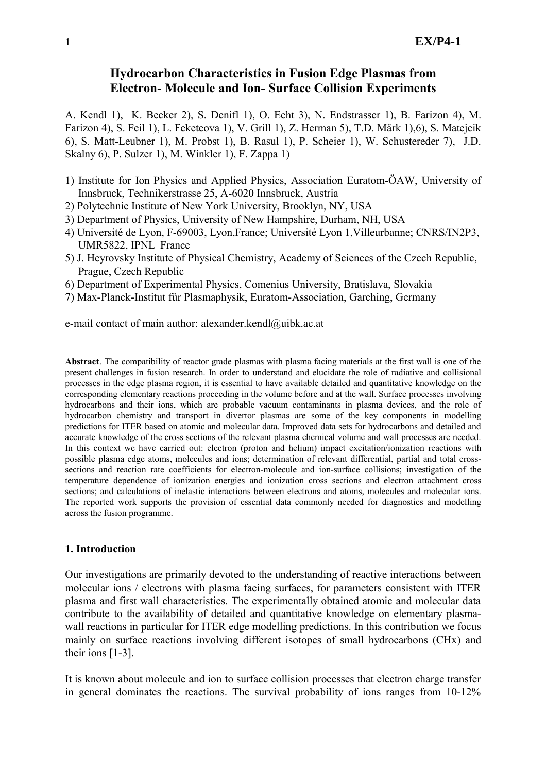# **Hydrocarbon Characteristics in Fusion Edge Plasmas from Electron- Molecule and Ion- Surface Collision Experiments**

A. Kendl 1), K. Becker 2), S. Denifl 1), O. Echt 3), N. Endstrasser 1), B. Farizon 4), M. Farizon 4), S. Feil 1), L. Feketeova 1), V. Grill 1), Z. Herman 5), T.D. Märk 1),6), S. Matejcik 6), S. Matt-Leubner 1), M. Probst 1), B. Rasul 1), P. Scheier 1), W. Schustereder 7), J.D. Skalny 6), P. Sulzer 1), M. Winkler 1), F. Zappa 1)

- 1) Institute for Ion Physics and Applied Physics, Association Euratom-ÖAW, University of Innsbruck, Technikerstrasse 25, A-6020 Innsbruck, Austria
- 2) Polytechnic Institute of New York University, Brooklyn, NY, USA
- 3) Department of Physics, University of New Hampshire, Durham, NH, USA
- 4) Université de Lyon, F-69003, Lyon,France; Université Lyon 1,Villeurbanne; CNRS/IN2P3, UMR5822, IPNL France
- 5) J. Heyrovsky Institute of Physical Chemistry, Academy of Sciences of the Czech Republic, Prague, Czech Republic
- 6) Department of Experimental Physics, Comenius University, Bratislava, Slovakia
- 7) Max-Planck-Institut für Plasmaphysik, Euratom-Association, Garching, Germany

e-mail contact of main author: alexander.kendl@uibk.ac.at

**Abstract**. The compatibility of reactor grade plasmas with plasma facing materials at the first wall is one of the present challenges in fusion research. In order to understand and elucidate the role of radiative and collisional processes in the edge plasma region, it is essential to have available detailed and quantitative knowledge on the corresponding elementary reactions proceeding in the volume before and at the wall. Surface processes involving hydrocarbons and their ions, which are probable vacuum contaminants in plasma devices, and the role of hydrocarbon chemistry and transport in divertor plasmas are some of the key components in modelling predictions for ITER based on atomic and molecular data. Improved data sets for hydrocarbons and detailed and accurate knowledge of the cross sections of the relevant plasma chemical volume and wall processes are needed. In this context we have carried out: electron (proton and helium) impact excitation/ionization reactions with possible plasma edge atoms, molecules and ions; determination of relevant differential, partial and total crosssections and reaction rate coefficients for electron-molecule and ion-surface collisions; investigation of the temperature dependence of ionization energies and ionization cross sections and electron attachment cross sections; and calculations of inelastic interactions between electrons and atoms, molecules and molecular ions. The reported work supports the provision of essential data commonly needed for diagnostics and modelling across the fusion programme.

#### **1. Introduction**

Our investigations are primarily devoted to the understanding of reactive interactions between molecular ions / electrons with plasma facing surfaces, for parameters consistent with ITER plasma and first wall characteristics. The experimentally obtained atomic and molecular data contribute to the availability of detailed and quantitative knowledge on elementary plasmawall reactions in particular for ITER edge modelling predictions. In this contribution we focus mainly on surface reactions involving different isotopes of small hydrocarbons (CHx) and their ions [1-3].

It is known about molecule and ion to surface collision processes that electron charge transfer in general dominates the reactions. The survival probability of ions ranges from 10-12%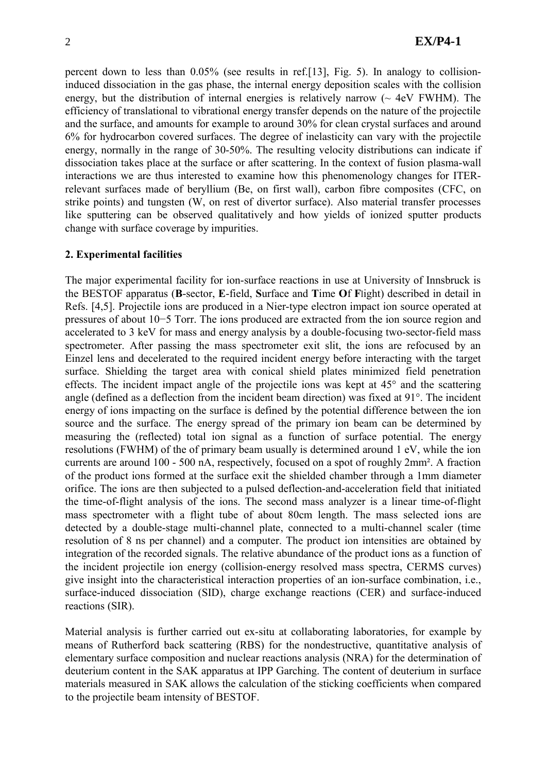percent down to less than 0.05% (see results in ref.[13], Fig. 5). In analogy to collisioninduced dissociation in the gas phase, the internal energy deposition scales with the collision energy, but the distribution of internal energies is relatively narrow  $\sim$  4eV FWHM). The efficiency of translational to vibrational energy transfer depends on the nature of the projectile and the surface, and amounts for example to around 30% for clean crystal surfaces and around 6% for hydrocarbon covered surfaces. The degree of inelasticity can vary with the projectile energy, normally in the range of 30-50%. The resulting velocity distributions can indicate if dissociation takes place at the surface or after scattering. In the context of fusion plasma-wall interactions we are thus interested to examine how this phenomenology changes for ITERrelevant surfaces made of beryllium (Be, on first wall), carbon fibre composites (CFC, on strike points) and tungsten (W, on rest of divertor surface). Also material transfer processes like sputtering can be observed qualitatively and how yields of ionized sputter products change with surface coverage by impurities.

#### **2. Experimental facilities**

The major experimental facility for ion-surface reactions in use at University of Innsbruck is the BESTOF apparatus (**B**-sector, **E**-field, **S**urface and **T**ime **O**f **F**light) described in detail in Refs. [4,5]. Projectile ions are produced in a Nier-type electron impact ion source operated at pressures of about 10−5 Torr. The ions produced are extracted from the ion source region and accelerated to 3 keV for mass and energy analysis by a double-focusing two-sector-field mass spectrometer. After passing the mass spectrometer exit slit, the ions are refocused by an Einzel lens and decelerated to the required incident energy before interacting with the target surface. Shielding the target area with conical shield plates minimized field penetration effects. The incident impact angle of the projectile ions was kept at 45° and the scattering angle (defined as a deflection from the incident beam direction) was fixed at 91°. The incident energy of ions impacting on the surface is defined by the potential difference between the ion source and the surface. The energy spread of the primary ion beam can be determined by measuring the (reflected) total ion signal as a function of surface potential. The energy resolutions (FWHM) of the of primary beam usually is determined around 1 eV, while the ion currents are around 100 - 500 nA, respectively, focused on a spot of roughly 2mm². A fraction of the product ions formed at the surface exit the shielded chamber through a 1mm diameter orifice. The ions are then subjected to a pulsed deflection-and-acceleration field that initiated the time-of-flight analysis of the ions. The second mass analyzer is a linear time-of-flight mass spectrometer with a flight tube of about 80cm length. The mass selected ions are detected by a double-stage multi-channel plate, connected to a multi-channel scaler (time resolution of 8 ns per channel) and a computer. The product ion intensities are obtained by integration of the recorded signals. The relative abundance of the product ions as a function of the incident projectile ion energy (collision-energy resolved mass spectra, CERMS curves) give insight into the characteristical interaction properties of an ion-surface combination, i.e., surface-induced dissociation (SID), charge exchange reactions (CER) and surface-induced reactions (SIR).

Material analysis is further carried out ex-situ at collaborating laboratories, for example by means of Rutherford back scattering (RBS) for the nondestructive, quantitative analysis of elementary surface composition and nuclear reactions analysis (NRA) for the determination of deuterium content in the SAK apparatus at IPP Garching. The content of deuterium in surface materials measured in SAK allows the calculation of the sticking coefficients when compared to the projectile beam intensity of BESTOF.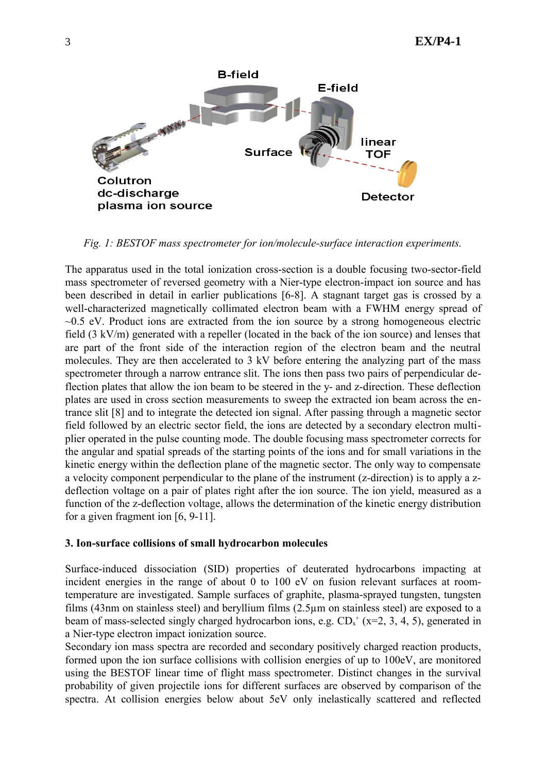

*Fig. 1: BESTOF mass spectrometer for ion/molecule-surface interaction experiments.*

The apparatus used in the total ionization cross-section is a double focusing two-sector-field mass spectrometer of reversed geometry with a Nier-type electron-impact ion source and has been described in detail in earlier publications [6-8]. A stagnant target gas is crossed by a well-characterized magnetically collimated electron beam with a FWHM energy spread of  $\sim$ 0.5 eV. Product ions are extracted from the ion source by a strong homogeneous electric field (3 kV/m) generated with a repeller (located in the back of the ion source) and lenses that are part of the front side of the interaction region of the electron beam and the neutral molecules. They are then accelerated to 3 kV before entering the analyzing part of the mass spectrometer through a narrow entrance slit. The ions then pass two pairs of perpendicular deflection plates that allow the ion beam to be steered in the y- and z-direction. These deflection plates are used in cross section measurements to sweep the extracted ion beam across the entrance slit [8] and to integrate the detected ion signal. After passing through a magnetic sector field followed by an electric sector field, the ions are detected by a secondary electron multiplier operated in the pulse counting mode. The double focusing mass spectrometer corrects for the angular and spatial spreads of the starting points of the ions and for small variations in the kinetic energy within the deflection plane of the magnetic sector. The only way to compensate a velocity component perpendicular to the plane of the instrument (z-direction) is to apply a zdeflection voltage on a pair of plates right after the ion source. The ion yield, measured as a function of the z-deflection voltage, allows the determination of the kinetic energy distribution for a given fragment ion [6, 9-11].

#### **3. Ion-surface collisions of small hydrocarbon molecules**

Surface-induced dissociation (SID) properties of deuterated hydrocarbons impacting at incident energies in the range of about 0 to 100 eV on fusion relevant surfaces at roomtemperature are investigated. Sample surfaces of graphite, plasma-sprayed tungsten, tungsten films (43nm on stainless steel) and beryllium films (2.5µm on stainless steel) are exposed to a beam of mass-selected singly charged hydrocarbon ions, e.g.  $CD_x^+$  (x=2, 3, 4, 5), generated in a Nier-type electron impact ionization source.

Secondary ion mass spectra are recorded and secondary positively charged reaction products, formed upon the ion surface collisions with collision energies of up to 100eV, are monitored using the BESTOF linear time of flight mass spectrometer. Distinct changes in the survival probability of given projectile ions for different surfaces are observed by comparison of the spectra. At collision energies below about 5eV only inelastically scattered and reflected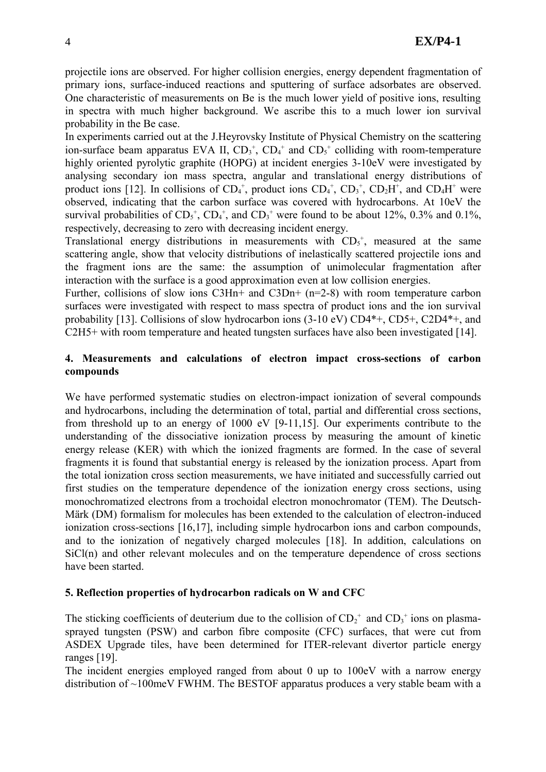projectile ions are observed. For higher collision energies, energy dependent fragmentation of primary ions, surface-induced reactions and sputtering of surface adsorbates are observed. One characteristic of measurements on Be is the much lower yield of positive ions, resulting in spectra with much higher background. We ascribe this to a much lower ion survival probability in the Be case.

In experiments carried out at the J.Heyrovsky Institute of Physical Chemistry on the scattering ion-surface beam apparatus EVA II,  $CD_3^+$ ,  $CD_4^+$  and  $CD_5^+$  colliding with room-temperature highly oriented pyrolytic graphite (HOPG) at incident energies 3-10eV were investigated by analysing secondary ion mass spectra, angular and translational energy distributions of product ions [12]. In collisions of  $CD_4^+$ , product ions  $CD_4^+$ ,  $CD_3^+$ ,  $CD_2H^+$ , and  $CD_4H^+$  were observed, indicating that the carbon surface was covered with hydrocarbons. At 10eV the survival probabilities of  $CD<sub>5</sub><sup>+</sup>$ ,  $CD<sub>4</sub><sup>+</sup>$ , and  $CD<sub>3</sub><sup>+</sup>$  were found to be about 12%, 0.3% and 0.1%, respectively, decreasing to zero with decreasing incident energy.

Translational energy distributions in measurements with  $CD<sub>5</sub><sup>+</sup>$ , measured at the same scattering angle, show that velocity distributions of inelastically scattered projectile ions and the fragment ions are the same: the assumption of unimolecular fragmentation after interaction with the surface is a good approximation even at low collision energies.

Further, collisions of slow ions C3Hn+ and C3Dn+ (n=2-8) with room temperature carbon surfaces were investigated with respect to mass spectra of product ions and the ion survival probability [13]. Collisions of slow hydrocarbon ions (3-10 eV) CD4\*+, CD5+, C2D4\*+, and C2H5+ with room temperature and heated tungsten surfaces have also been investigated [14].

# **4. Measurements and calculations of electron impact cross-sections of carbon compounds**

We have performed systematic studies on electron-impact ionization of several compounds and hydrocarbons, including the determination of total, partial and differential cross sections, from threshold up to an energy of 1000 eV [9-11,15]. Our experiments contribute to the understanding of the dissociative ionization process by measuring the amount of kinetic energy release (KER) with which the ionized fragments are formed. In the case of several fragments it is found that substantial energy is released by the ionization process. Apart from the total ionization cross section measurements, we have initiated and successfully carried out first studies on the temperature dependence of the ionization energy cross sections, using monochromatized electrons from a trochoidal electron monochromator (TEM). The Deutsch-Märk (DM) formalism for molecules has been extended to the calculation of electron-induced ionization cross-sections [16,17], including simple hydrocarbon ions and carbon compounds, and to the ionization of negatively charged molecules [18]. In addition, calculations on SiCl(n) and other relevant molecules and on the temperature dependence of cross sections have been started.

## **5. Reflection properties of hydrocarbon radicals on W and CFC**

The sticking coefficients of deuterium due to the collision of  $CD_2^+$  and  $CD_3^+$  ions on plasmasprayed tungsten (PSW) and carbon fibre composite (CFC) surfaces, that were cut from ASDEX Upgrade tiles, have been determined for ITER-relevant divertor particle energy ranges [19].

The incident energies employed ranged from about 0 up to 100eV with a narrow energy distribution of ~100meV FWHM. The BESTOF apparatus produces a very stable beam with a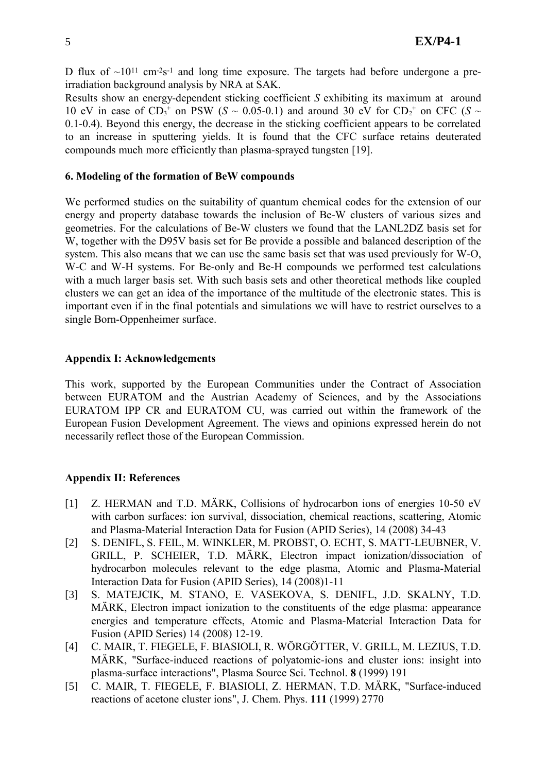D flux of  $\sim 10^{11}$  cm<sup>-2</sup>s<sup>-1</sup> and long time exposure. The targets had before undergone a preirradiation background analysis by NRA at SAK.

Results show an energy-dependent sticking coefficient *S* exhibiting its maximum at around 10 eV in case of  $CD_3$ <sup>+</sup> on PSW (*S* ~ 0.05-0.1) and around 30 eV for  $CD_2$ <sup>+</sup> on CFC (*S* ~ 0.1-0.4). Beyond this energy, the decrease in the sticking coefficient appears to be correlated to an increase in sputtering yields. It is found that the CFC surface retains deuterated compounds much more efficiently than plasma-sprayed tungsten [19].

### **6. Modeling of the formation of BeW compounds**

We performed studies on the suitability of quantum chemical codes for the extension of our energy and property database towards the inclusion of Be-W clusters of various sizes and geometries. For the calculations of Be-W clusters we found that the LANL2DZ basis set for W, together with the D95V basis set for Be provide a possible and balanced description of the system. This also means that we can use the same basis set that was used previously for W-O, W-C and W-H systems. For Be-only and Be-H compounds we performed test calculations with a much larger basis set. With such basis sets and other theoretical methods like coupled clusters we can get an idea of the importance of the multitude of the electronic states. This is important even if in the final potentials and simulations we will have to restrict ourselves to a single Born-Oppenheimer surface.

### **Appendix I: Acknowledgements**

This work, supported by the European Communities under the Contract of Association between EURATOM and the Austrian Academy of Sciences, and by the Associations EURATOM IPP CR and EURATOM CU, was carried out within the framework of the European Fusion Development Agreement. The views and opinions expressed herein do not necessarily reflect those of the European Commission.

## **Appendix II: References**

- [1] Z. HERMAN and T.D. MÄRK, Collisions of hydrocarbon ions of energies 10-50 eV with carbon surfaces: ion survival, dissociation, chemical reactions, scattering, Atomic and Plasma-Material Interaction Data for Fusion (APID Series), 14 (2008) 34-43
- [2] S. DENIFL, S. FEIL, M. WINKLER, M. PROBST, O. ECHT, S. MATT-LEUBNER, V. GRILL, P. SCHEIER, T.D. MÄRK, Electron impact ionization/dissociation of hydrocarbon molecules relevant to the edge plasma, Atomic and Plasma-Material Interaction Data for Fusion (APID Series), 14 (2008)1-11
- [3] S. MATEJCIK, M. STANO, E. VASEKOVA, S. DENIFL, J.D. SKALNY, T.D. MÄRK, Electron impact ionization to the constituents of the edge plasma: appearance energies and temperature effects, Atomic and Plasma-Material Interaction Data for Fusion (APID Series) 14 (2008) 12-19.
- [4] C. MAIR, T. FIEGELE, F. BIASIOLI, R. WÖRGÖTTER, V. GRILL, M. LEZIUS, T.D. MÄRK, "Surface-induced reactions of polyatomic-ions and cluster ions: insight into plasma-surface interactions", Plasma Source Sci. Technol. **8** (1999) 191
- [5] C. MAIR, T. FIEGELE, F. BIASIOLI, Z. HERMAN, T.D. MÄRK, "Surface-induced reactions of acetone cluster ions", J. Chem. Phys. **111** (1999) 2770